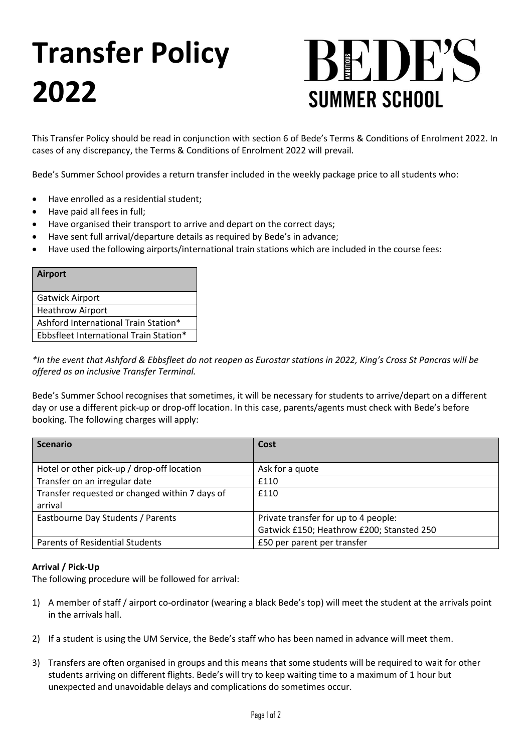# **Transfer Policy 2022**



This Transfer Policy should be read in conjunction with section 6 of Bede's Terms & Conditions of Enrolment 2022. In cases of any discrepancy, the Terms & Conditions of Enrolment 2022 will prevail.

Bede's Summer School provides a return transfer included in the weekly package price to all students who:

- Have enrolled as a residential student;
- Have paid all fees in full;
- Have organised their transport to arrive and depart on the correct days;
- Have sent full arrival/departure details as required by Bede's in advance;
- Have used the following airports/international train stations which are included in the course fees:

| <b>Airport</b>                         |
|----------------------------------------|
| <b>Gatwick Airport</b>                 |
| <b>Heathrow Airport</b>                |
| Ashford International Train Station*   |
| Ebbsfleet International Train Station* |

*\*In the event that Ashford & Ebbsfleet do not reopen as Eurostar stations in 2022, King's Cross St Pancras will be offered as an inclusive Transfer Terminal.*

Bede's Summer School recognises that sometimes, it will be necessary for students to arrive/depart on a different day or use a different pick-up or drop-off location. In this case, parents/agents must check with Bede's before booking. The following charges will apply:

| <b>Scenario</b>                                | Cost                                      |
|------------------------------------------------|-------------------------------------------|
|                                                |                                           |
| Hotel or other pick-up / drop-off location     | Ask for a quote                           |
| Transfer on an irregular date                  | £110                                      |
| Transfer requested or changed within 7 days of | £110                                      |
| arrival                                        |                                           |
| Eastbourne Day Students / Parents              | Private transfer for up to 4 people:      |
|                                                | Gatwick £150; Heathrow £200; Stansted 250 |
| <b>Parents of Residential Students</b>         | £50 per parent per transfer               |

### **Arrival / Pick-Up**

The following procedure will be followed for arrival:

- 1) A member of staff / airport co-ordinator (wearing a black Bede's top) will meet the student at the arrivals point in the arrivals hall.
- 2) If a student is using the UM Service, the Bede's staff who has been named in advance will meet them.
- 3) Transfers are often organised in groups and this means that some students will be required to wait for other students arriving on different flights. Bede's will try to keep waiting time to a maximum of 1 hour but unexpected and unavoidable delays and complications do sometimes occur.